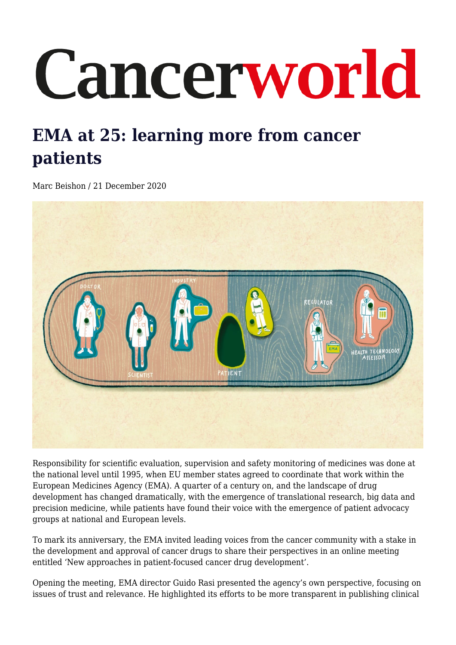# Cancerworld

# **EMA at 25: learning more from cancer patients**

Marc Beishon / 21 December 2020



Responsibility for scientific evaluation, supervision and safety monitoring of medicines was done at the national level until 1995, when EU member states agreed to coordinate that work within the European Medicines Agency (EMA). A quarter of a century on, and the landscape of drug development has changed dramatically, with the emergence of translational research, big data and precision medicine, while patients have found their voice with the emergence of patient advocacy groups at national and European levels.

To mark its anniversary, the EMA invited leading voices from the cancer community with a stake in the development and approval of cancer drugs to share their perspectives in an online meeting entitled 'New approaches in patient-focused cancer drug development'.

Opening the meeting, EMA director Guido Rasi presented the agency's own perspective, focusing on issues of trust and relevance. He highlighted its efforts to be more transparent in publishing clinical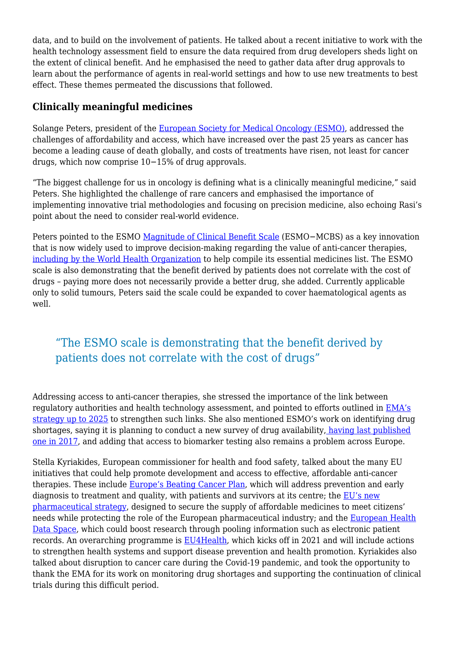data, and to build on the involvement of patients. He talked about a recent initiative to work with the health technology assessment field to ensure the data required from drug developers sheds light on the extent of clinical benefit. And he emphasised the need to gather data after drug approvals to learn about the performance of agents in real-world settings and how to use new treatments to best effect. These themes permeated the discussions that followed.

# **Clinically meaningful medicines**

Solange Peters, president of the [European Society for Medical Oncology \(ESMO\)](https://www.esmo.org/), addressed the challenges of affordability and access, which have increased over the past 25 years as cancer has become a leading cause of death globally, and costs of treatments have risen, not least for cancer drugs, which now comprise 10−15% of drug approvals.

"The biggest challenge for us in oncology is defining what is a clinically meaningful medicine," said Peters. She highlighted the challenge of rare cancers and emphasised the importance of implementing innovative trial methodologies and focusing on precision medicine, also echoing Rasi's point about the need to consider real-world evidence.

Peters pointed to the ESMO [Magnitude of Clinical Benefit Scale](https://www.esmo.org/guidelines/esmo-mcbs?hit=ehp) (ESMO–MCBS) as a key innovation that is now widely used to improve decision-making regarding the value of anti-cancer therapies, [including by the World Health Organization](https://www.esmo.org/guidelines/esmo-mcbs/esmo-mcbs-and-the-who) to help compile its essential medicines list. The ESMO scale is also demonstrating that the benefit derived by patients does not correlate with the cost of drugs – paying more does not necessarily provide a better drug, she added. Currently applicable only to solid tumours, Peters said the scale could be expanded to cover haematological agents as well.

# "The ESMO scale is demonstrating that the benefit derived by patients does not correlate with the cost of drugs"

Addressing access to anti-cancer therapies, she stressed the importance of the link between regulatory authorities and health technology assessment, and pointed to efforts outlined in [EMA's](https://www.ema.europa.eu/en/news/advancing-regulatory-science-eu-new-strategy-adopted) [strategy up to 2025](https://www.ema.europa.eu/en/news/advancing-regulatory-science-eu-new-strategy-adopted) to strengthen such links. She also mentioned ESMO's work on identifying drug shortages, saying it is planning to conduct a new survey of drug availability, [having last published](https://www.annalsofoncology.org/article/S0923-7534(19)34620-4/fulltext) [one in 2017,](https://www.annalsofoncology.org/article/S0923-7534(19)34620-4/fulltext) and adding that access to biomarker testing also remains a problem across Europe.

Stella Kyriakides, European commissioner for health and food safety, talked about the many EU initiatives that could help promote development and access to effective, affordable anti-cancer therapies. These include [Europe's Beating Cancer Plan](https://ec.europa.eu/info/law/better-regulation/have-your-say/initiatives/12154-Europe-s-Beating-Cancer-Plan/public-consultation), which will address prevention and early diagnosis to treatment and quality, with patients and survivors at its centre; the [EU's new](https://ec.europa.eu/health/human-use/strategy_en) [pharmaceutical strategy](https://ec.europa.eu/health/human-use/strategy_en), designed to secure the supply of affordable medicines to meet citizens' needs while protecting the role of the European pharmaceutical industry; and the [European Health](https://ec.europa.eu/health/ehealth/dataspace_en) [Data Space,](https://ec.europa.eu/health/ehealth/dataspace_en) which could boost research through pooling information such as electronic patient records. An overarching programme is [EU4Health](https://ec.europa.eu/health/funding/eu4health_en), which kicks off in 2021 and will include actions to strengthen health systems and support disease prevention and health promotion. Kyriakides also talked about disruption to cancer care during the Covid-19 pandemic, and took the opportunity to thank the EMA for its work on monitoring drug shortages and supporting the continuation of clinical trials during this difficult period.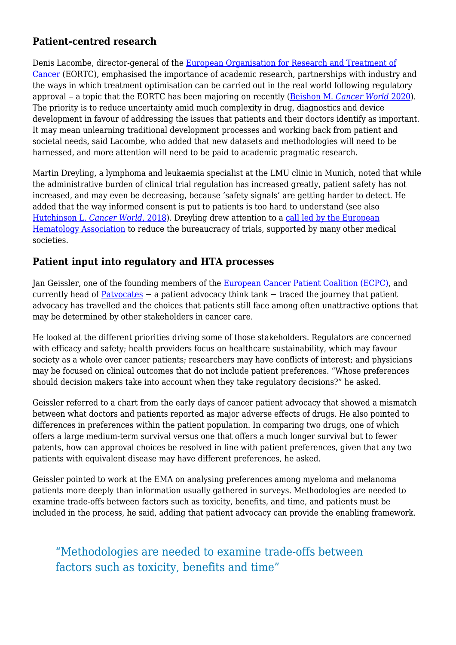# **Patient-centred research**

Denis Lacombe, director-general of the [European Organisation for Research and Treatment of](https://www.eortc.org/) [Cancer](https://www.eortc.org/) (EORTC), emphasised the importance of academic research, partnerships with industry and the ways in which treatment optimisation can be carried out in the real world following regulatory approval ‒ a topic that the EORTC has been majoring on recently ([Beishon M.](https://cancerworld.net/spotlight-on/does-it-work-for-my-patient-a-pragmatic-approach-to-building-evidence-on-clinical-effectiveness/) *[Cancer World](https://cancerworld.net/spotlight-on/does-it-work-for-my-patient-a-pragmatic-approach-to-building-evidence-on-clinical-effectiveness/)* [2020](https://cancerworld.net/spotlight-on/does-it-work-for-my-patient-a-pragmatic-approach-to-building-evidence-on-clinical-effectiveness/)). The priority is to reduce uncertainty amid much complexity in drug, diagnostics and device development in favour of addressing the issues that patients and their doctors identify as important. It may mean unlearning traditional development processes and working back from patient and societal needs, said Lacombe, who added that new datasets and methodologies will need to be harnessed, and more attention will need to be paid to academic pragmatic research.

Martin Dreyling, a lymphoma and leukaemia specialist at the LMU clinic in Munich, noted that while the administrative burden of clinical trial regulation has increased greatly, patient safety has not increased, and may even be decreasing, because 'safety signals' are getting harder to detect. He added that the way informed consent is put to patients is too hard to understand (see also [Hutchinson L.](https://cancerworld.net/comment/reciprocity-in-informed-consent-a-fairer-framework-for-first-in-human-trials/) *[Cancer World](https://cancerworld.net/comment/reciprocity-in-informed-consent-a-fairer-framework-for-first-in-human-trials/)*[, 2018](https://cancerworld.net/comment/reciprocity-in-informed-consent-a-fairer-framework-for-first-in-human-trials/)). Dreyling drew attention to a [call led by the European](https://ehaweb.org/assets/Uploads/Coalition-statement-Reducing-bureaucracy-in-clinical-trials-240920.pdf) [Hematology Association](https://ehaweb.org/assets/Uploads/Coalition-statement-Reducing-bureaucracy-in-clinical-trials-240920.pdf) to reduce the bureaucracy of trials, supported by many other medical societies.

### **Patient input into regulatory and HTA processes**

Jan Geissler, one of the founding members of the [European Cancer Patient Coalition \(ECPC\)](https://ecpc.org/), and currently head of [Patvocates](https://www.patvocates.net/) – a patient advocacy think tank – traced the journey that patient advocacy has travelled and the choices that patients still face among often unattractive options that may be determined by other stakeholders in cancer care.

He looked at the different priorities driving some of those stakeholders. Regulators are concerned with efficacy and safety; health providers focus on healthcare sustainability, which may favour society as a whole over cancer patients; researchers may have conflicts of interest; and physicians may be focused on clinical outcomes that do not include patient preferences. "Whose preferences should decision makers take into account when they take regulatory decisions?" he asked.

Geissler referred to a chart from the early days of cancer patient advocacy that showed a mismatch between what doctors and patients reported as major adverse effects of drugs. He also pointed to differences in preferences within the patient population. In comparing two drugs, one of which offers a large medium-term survival versus one that offers a much longer survival but to fewer patents, how can approval choices be resolved in line with patient preferences, given that any two patients with equivalent disease may have different preferences, he asked.

Geissler pointed to work at the EMA on analysing preferences among myeloma and melanoma patients more deeply than information usually gathered in surveys. Methodologies are needed to examine trade-offs between factors such as toxicity, benefits, and time, and patients must be included in the process, he said, adding that patient advocacy can provide the enabling framework.

# "Methodologies are needed to examine trade-offs between factors such as toxicity, benefits and time"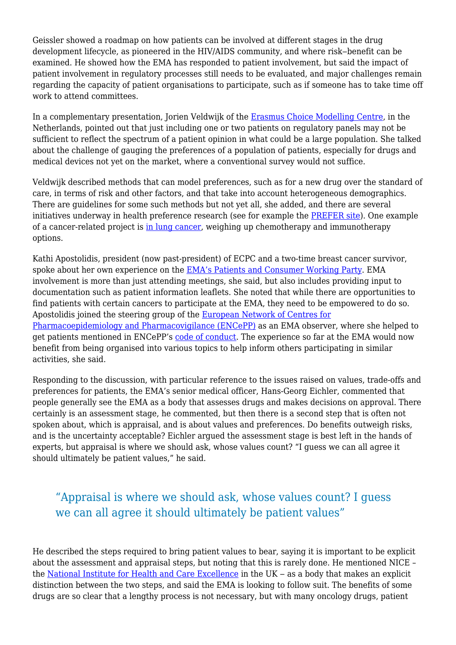Geissler showed a roadmap on how patients can be involved at different stages in the drug development lifecycle, as pioneered in the HIV/AIDS community, and where risk-benefit can be examined. He showed how the EMA has responded to patient involvement, but said the impact of patient involvement in regulatory processes still needs to be evaluated, and major challenges remain regarding the capacity of patient organisations to participate, such as if someone has to take time off work to attend committees.

In a complementary presentation, Jorien Veldwijk of the [Erasmus Choice Modelling Centre](https://www.erim.eur.nl/choice-modelling), in the Netherlands, pointed out that just including one or two patients on regulatory panels may not be sufficient to reflect the spectrum of a patient opinion in what could be a large population. She talked about the challenge of gauging the preferences of a population of patients, especially for drugs and medical devices not yet on the market, where a conventional survey would not suffice.

Veldwijk described methods that can model preferences, such as for a new drug over the standard of care, in terms of risk and other factors, and that take into account heterogeneous demographics. There are guidelines for some such methods but not yet all, she added, and there are several initiatives underway in health preference research (see for example the [PREFER site](https://www.imi-prefer.eu/)). One example of a cancer-related project is [in lung cancer,](https://www.imi-prefer.eu/case-studies/lung-cancer/) weighing up chemotherapy and immunotherapy options.

Kathi Apostolidis, president (now past-president) of ECPC and a two-time breast cancer survivor, spoke about her own experience on the [EMA's Patients and Consumer Working Party.](https://www.ema.europa.eu/en/committees/working-parties-other-groups/chmp/patients-consumers-working-party) EMA involvement is more than just attending meetings, she said, but also includes providing input to documentation such as patient information leaflets. She noted that while there are opportunities to find patients with certain cancers to participate at the EMA, they need to be empowered to do so. Apostolidis joined the steering group of the [European Network of Centres for](http://www.encepp.eu/) [Pharmacoepidemiology and Pharmacovigilance \(ENCePP\)](http://www.encepp.eu/) as an EMA observer, where she helped to get patients mentioned in ENCePP's [code of conduct](http://www.encepp.eu/code_of_conduct/index.shtml). The experience so far at the EMA would now benefit from being organised into various topics to help inform others participating in similar activities, she said.

Responding to the discussion, with particular reference to the issues raised on values, trade-offs and preferences for patients, the EMA's senior medical officer, Hans-Georg Eichler, commented that people generally see the EMA as a body that assesses drugs and makes decisions on approval. There certainly is an assessment stage, he commented, but then there is a second step that is often not spoken about, which is appraisal, and is about values and preferences. Do benefits outweigh risks, and is the uncertainty acceptable? Eichler argued the assessment stage is best left in the hands of experts, but appraisal is where we should ask, whose values count? "I guess we can all agree it should ultimately be patient values," he said.

# "Appraisal is where we should ask, whose values count? I guess we can all agree it should ultimately be patient values"

He described the steps required to bring patient values to bear, saying it is important to be explicit about the assessment and appraisal steps, but noting that this is rarely done. He mentioned NICE – the [National Institute for Health and Care Excellence](https://www.nice.org.uk/) in the  $UK - as$  a body that makes an explicit distinction between the two steps, and said the EMA is looking to follow suit. The benefits of some drugs are so clear that a lengthy process is not necessary, but with many oncology drugs, patient